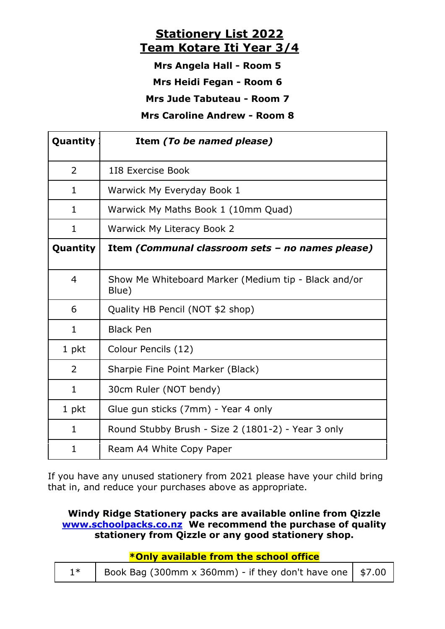## **Stationery List 2022 Team Kotare Iti Year 3/4**

**Mrs Angela Hall - Room 5**

**Mrs Heidi Fegan - Room 6**

**Mrs Jude Tabuteau - Room 7**

**Mrs Caroline Andrew - Room 8** 

| Quantity       | Item (To be named please)                                     |  |  |
|----------------|---------------------------------------------------------------|--|--|
| $\overline{2}$ | 118 Exercise Book                                             |  |  |
| 1              | Warwick My Everyday Book 1                                    |  |  |
| $\mathbf{1}$   | Warwick My Maths Book 1 (10mm Quad)                           |  |  |
| 1              | Warwick My Literacy Book 2                                    |  |  |
| Quantity       | Item (Communal classroom sets - no names please)              |  |  |
| 4              | Show Me Whiteboard Marker (Medium tip - Black and/or<br>Blue) |  |  |
| 6              | Quality HB Pencil (NOT \$2 shop)                              |  |  |
| $\mathbf{1}$   | <b>Black Pen</b>                                              |  |  |
| 1 pkt          | Colour Pencils (12)                                           |  |  |
| $\overline{2}$ | Sharpie Fine Point Marker (Black)                             |  |  |
| $\mathbf{1}$   | 30cm Ruler (NOT bendy)                                        |  |  |
| 1 pkt          | Glue gun sticks (7mm) - Year 4 only                           |  |  |
| $\mathbf{1}$   | Round Stubby Brush - Size 2 (1801-2) - Year 3 only            |  |  |
| 1              | Ream A4 White Copy Paper                                      |  |  |

If you have any unused stationery from 2021 please have your child bring that in, and reduce your purchases above as appropriate.

## **Windy Ridge Stationery packs are available online from Qizzle www.schoolpacks.co.nz We recommend the purchase of quality stationery from Qizzle or any good stationery shop.**

**\*Only available from the school office**

| $1^*$   Book Bag (300mm x 360mm) - if they don't have one   \$7.00 |  |
|--------------------------------------------------------------------|--|
|                                                                    |  |